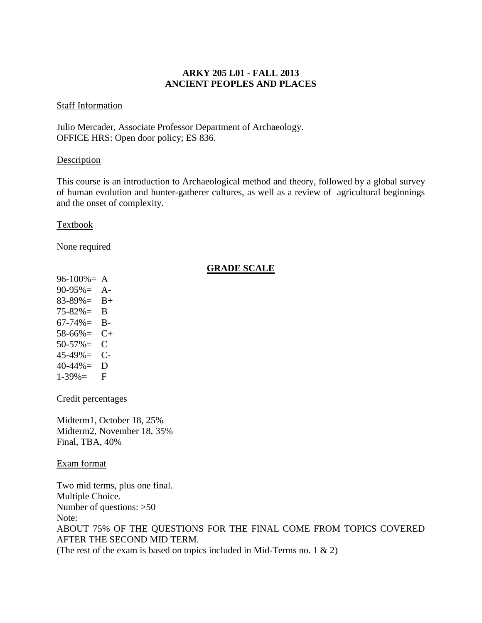# **ARKY 205 L01 - FALL 2013 ANCIENT PEOPLES AND PLACES**

#### Staff Information

Julio Mercader, Associate Professor Department of Archaeology. OFFICE HRS: Open door policy; ES 836.

## **Description**

This course is an introduction to Archaeological method and theory, followed by a global survey of human evolution and hunter-gatherer cultures, as well as a review of agricultural beginnings and the onset of complexity.

### Textbook

None required

## **GRADE SCALE**

 $96-100% = A$  $90-95\% = A$ - $83-89\% = B+$ 75-82%= B  $67-74\% = B$ -58-66%= C+  $50-57\% = C$ 45-49%= C-40-44%= D  $1-39\% =$  F

Credit percentages

Midterm1, October 18, 25% Midterm2, November 18, 35% Final, TBA, 40%

Exam format

Two mid terms, plus one final. Multiple Choice. Number of questions: >50 Note: ABOUT 75% OF THE QUESTIONS FOR THE FINAL COME FROM TOPICS COVERED AFTER THE SECOND MID TERM. (The rest of the exam is based on topics included in Mid-Terms no. 1  $\&$  2)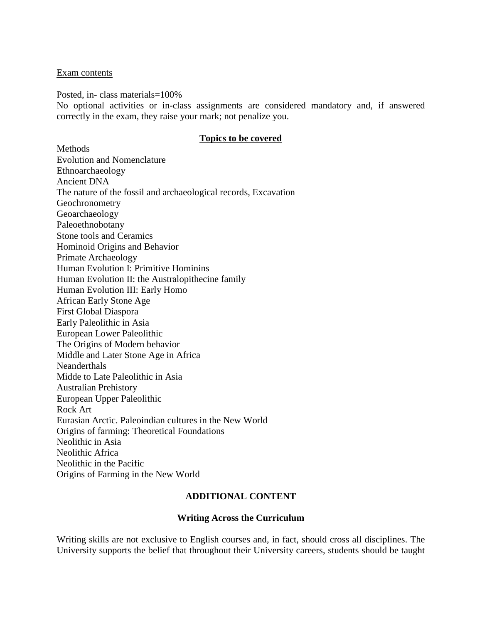#### Exam contents

Posted, in- class materials=100%

No optional activities or in-class assignments are considered mandatory and, if answered correctly in the exam, they raise your mark; not penalize you.

#### **Topics to be covered**

Methods Evolution and Nomenclature Ethnoarchaeology Ancient DNA The nature of the fossil and archaeological records, Excavation Geochronometry Geoarchaeology Paleoethnobotany Stone tools and Ceramics Hominoid Origins and Behavior Primate Archaeology Human Evolution I: Primitive Hominins Human Evolution II: the Australopithecine family Human Evolution III: Early Homo African Early Stone Age First Global Diaspora Early Paleolithic in Asia European Lower Paleolithic The Origins of Modern behavior Middle and Later Stone Age in Africa Neanderthals Midde to Late Paleolithic in Asia Australian Prehistory European Upper Paleolithic Rock Art Eurasian Arctic. Paleoindian cultures in the New World Origins of farming: Theoretical Foundations Neolithic in Asia Neolithic Africa Neolithic in the Pacific Origins of Farming in the New World

## **ADDITIONAL CONTENT**

#### **Writing Across the Curriculum**

Writing skills are not exclusive to English courses and, in fact, should cross all disciplines. The University supports the belief that throughout their University careers, students should be taught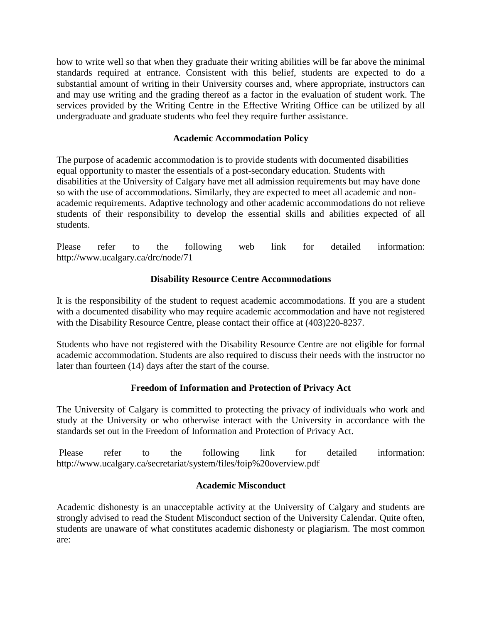how to write well so that when they graduate their writing abilities will be far above the minimal standards required at entrance. Consistent with this belief, students are expected to do a substantial amount of writing in their University courses and, where appropriate, instructors can and may use writing and the grading thereof as a factor in the evaluation of student work. The services provided by the Writing Centre in the Effective Writing Office can be utilized by all undergraduate and graduate students who feel they require further assistance.

# **Academic Accommodation Policy**

The purpose of academic accommodation is to provide students with documented disabilities equal opportunity to master the essentials of a post-secondary education. Students with disabilities at the University of Calgary have met all admission requirements but may have done so with the use of accommodations. Similarly, they are expected to meet all academic and nonacademic requirements. Adaptive technology and other academic accommodations do not relieve students of their responsibility to develop the essential skills and abilities expected of all students.

Please refer to the following web link for detailed information: http://www.ucalgary.ca/drc/node/71

## **Disability Resource Centre Accommodations**

It is the responsibility of the student to request academic accommodations. If you are a student with a documented disability who may require academic accommodation and have not registered with the Disability Resource Centre, please contact their office at (403)220-8237.

Students who have not registered with the Disability Resource Centre are not eligible for formal academic accommodation. Students are also required to discuss their needs with the instructor no later than fourteen (14) days after the start of the course.

# **Freedom of Information and Protection of Privacy Act**

The University of Calgary is committed to protecting the privacy of individuals who work and study at the University or who otherwise interact with the University in accordance with the standards set out in the Freedom of Information and Protection of Privacy Act.

Please refer to the following link for detailed information: http://www.ucalgary.ca/secretariat/system/files/foip%20overview.pdf

## **Academic Misconduct**

Academic dishonesty is an unacceptable activity at the University of Calgary and students are strongly advised to read the Student Misconduct section of the University Calendar. Quite often, students are unaware of what constitutes academic dishonesty or plagiarism. The most common are: